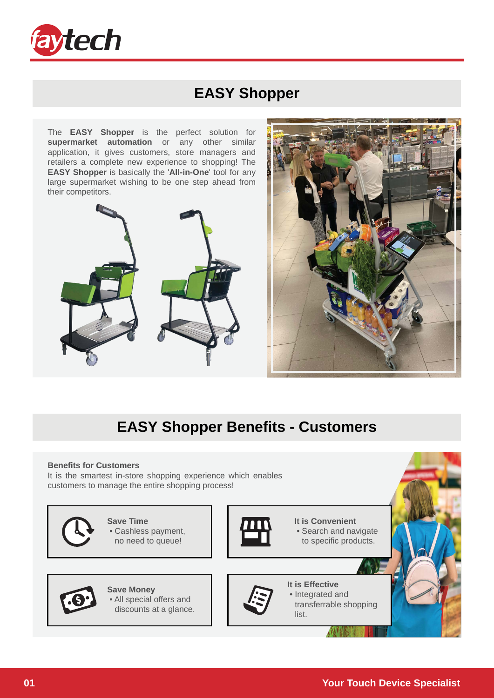

#### **EASY Shopper**

The **EASY Shopper** is the perfect solution for **supermarket automation** or any other similar application, it gives customers, store managers and retailers a complete new experience to shopping! The **EASY Shopper** is basically the '**All-in-One**' tool for any large supermarket wishing to be one step ahead from their competitors.





### **EASY Shopper Benefits - Customers**

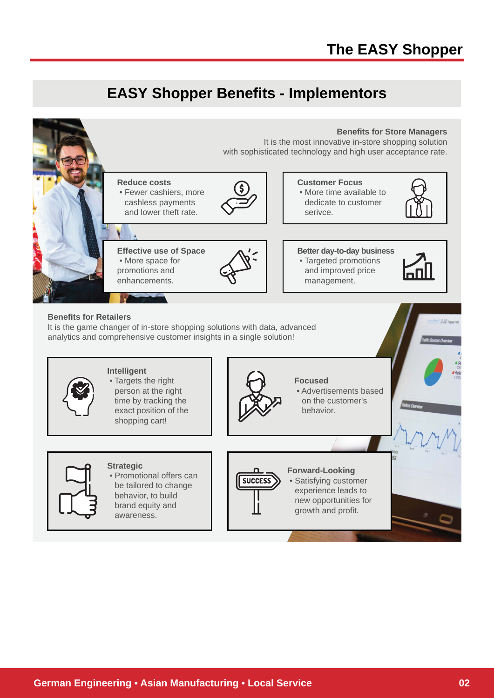#### **EASY Shopper Benefits - Implementors**

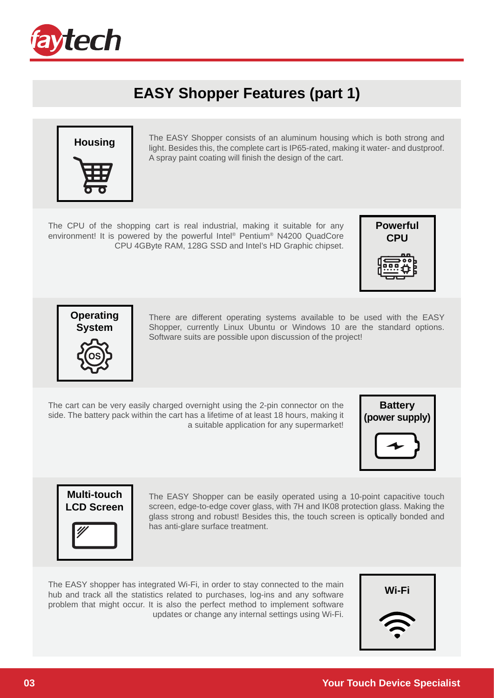

## **EASY Shopper Features (part 1)**



**Housing** The EASY Shopper consists of an aluminum housing which is both strong and little Resident that the consistence is 1965 and the strong set destruction of the strong for the strong set of the strong for the strong light. Besides this, the complete cart is IP65-rated, making it water- and dustproof. A spray paint coating will finish the design of the cart.

The CPU of the shopping cart is real industrial, making it suitable for any environment! It is powered by the powerful Intel® Pentium® N4200 QuadCore CPU 4GByte RAM, 128G SSD and Intel's HD Graphic chipset.





There are different operating systems available to be used with the EASY Shopper, currently Linux Ubuntu or Windows 10 are the standard options. Software suits are possible upon discussion of the project!

The cart can be very easily charged overnight using the 2-pin connector on the side. The battery pack within the cart has a lifetime of at least 18 hours, making it a suitable application for any supermarket!





The EASY Shopper can be easily operated using a 10-point capacitive touch screen, edge-to-edge cover glass, with 7H and IK08 protection glass. Making the glass strong and robust! Besides this, the touch screen is optically bonded and has anti-glare surface treatment.

The EASY shopper has integrated Wi-Fi, in order to stay connected to the main **channel in the Wi-Fi**<br>hub and track all the statistics related to purchases, log-ins and any software **wi-Fi** problem that might occur. It is also the perfect method to implement software updates or change any internal settings using Wi-Fi.

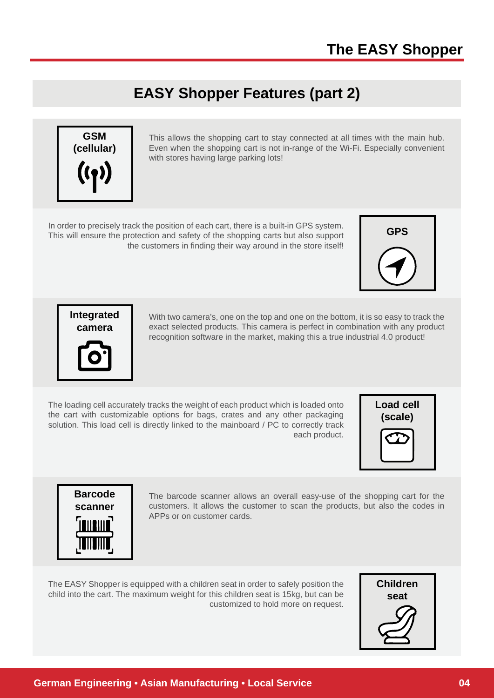### **EASY Shopper Features (part 2)**



This allows the shopping cart to stay connected at all times with the main hub. Even when the shopping cart is not in-range of the Wi-Fi. Especially convenient with stores having large parking lots!

In order to precisely track the position of each cart, there is a built-in GPS system. This will ensure the protection and safety of the shopping carts but also support the customers in finding their way around in the store itself!



**Integrated camera**



With two camera's, one on the top and one on the bottom, it is so easy to track the exact selected products. This camera is perfect in combination with any product recognition software in the market, making this a true industrial 4.0 product!

The loading cell accurately tracks the weight of each product which is loaded onto the cart with customizable options for bags, crates and any other packaging solution. This load cell is directly linked to the mainboard / PC to correctly track each product.





The barcode scanner allows an overall easy-use of the shopping cart for the customers. It allows the customer to scan the products, but also the codes in APPs or on customer cards.

The EASY Shopper is equipped with a children seat in order to safely position the child into the cart. The maximum weight for this children seat is 15kg, but can be customized to hold more on request.